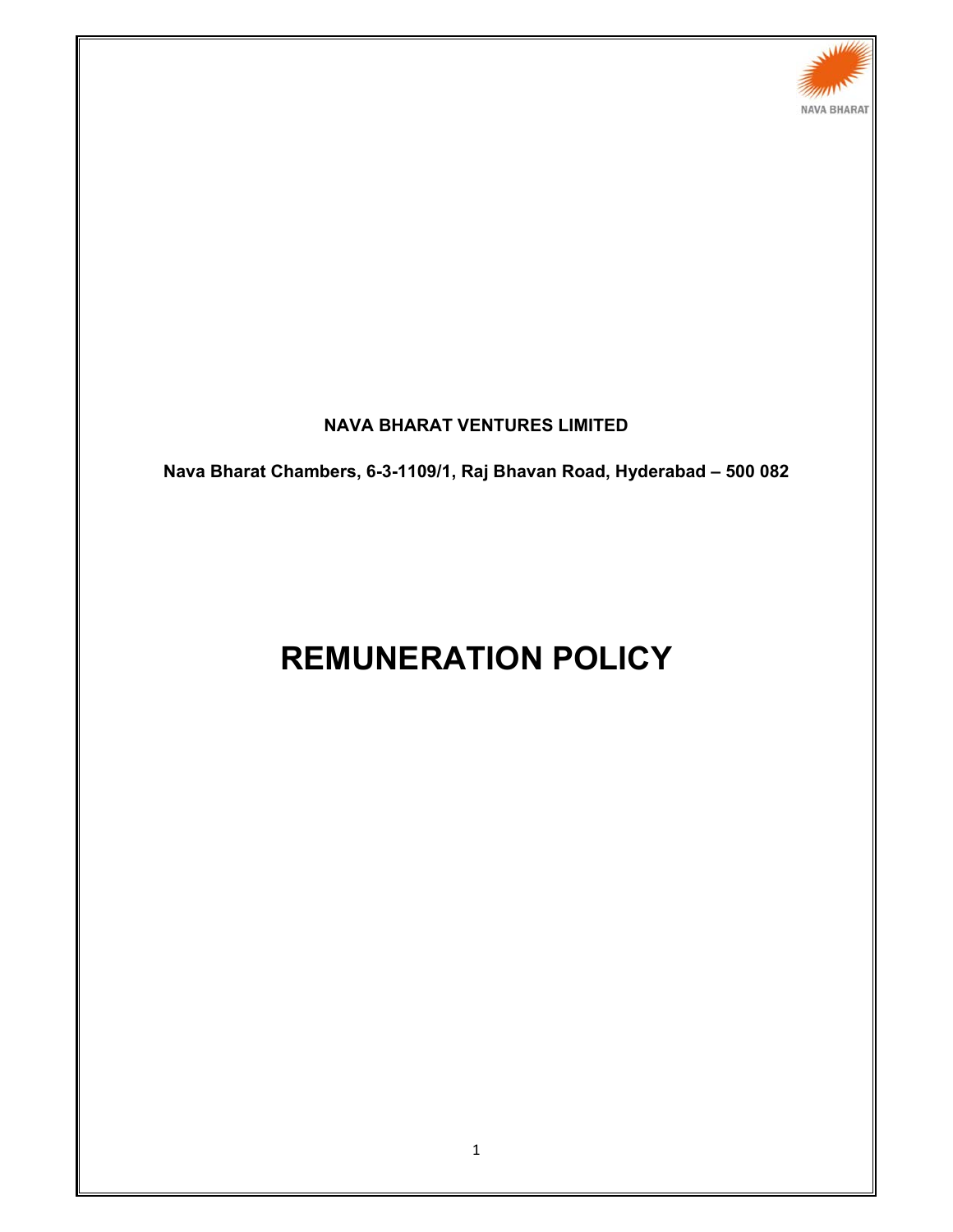

# **NAVA BHARAT VENTURES LIMITED**

**Nava Bharat Chambers, 6-3-1109/1, Raj Bhavan Road, Hyderabad – 500 082** 

# **REMUNERATION POLICY**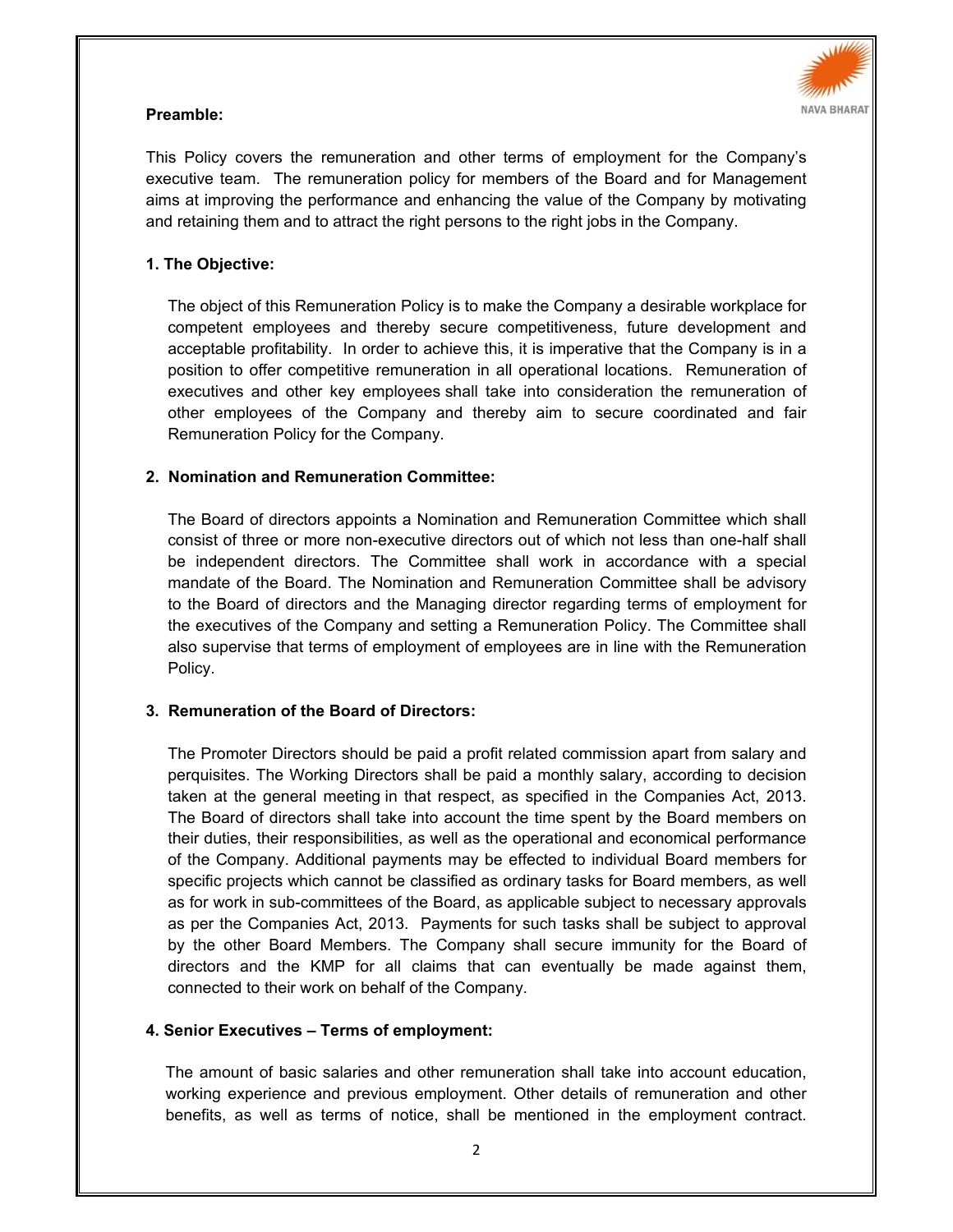

## **Preamble:**

This Policy covers the remuneration and other terms of employment for the Company's executive team. The remuneration policy for members of the Board and for Management aims at improving the performance and enhancing the value of the Company by motivating and retaining them and to attract the right persons to the right jobs in the Company.

#### **1. The Objective:**

The object of this Remuneration Policy is to make the Company a desirable workplace for competent employees and thereby secure competitiveness, future development and acceptable profitability. In order to achieve this, it is imperative that the Company is in a position to offer competitive remuneration in all operational locations. Remuneration of executives and other key employees shall take into consideration the remuneration of other employees of the Company and thereby aim to secure coordinated and fair Remuneration Policy for the Company.

### **2. Nomination and Remuneration Committee:**

The Board of directors appoints a Nomination and Remuneration Committee which shall consist of three or more non-executive directors out of which not less than one-half shall be independent directors. The Committee shall work in accordance with a special mandate of the Board. The Nomination and Remuneration Committee shall be advisory to the Board of directors and the Managing director regarding terms of employment for the executives of the Company and setting a Remuneration Policy. The Committee shall also supervise that terms of employment of employees are in line with the Remuneration Policy.

#### **3. Remuneration of the Board of Directors:**

The Promoter Directors should be paid a profit related commission apart from salary and perquisites. The Working Directors shall be paid a monthly salary, according to decision taken at the general meeting in that respect, as specified in the Companies Act, 2013. The Board of directors shall take into account the time spent by the Board members on their duties, their responsibilities, as well as the operational and economical performance of the Company. Additional payments may be effected to individual Board members for specific projects which cannot be classified as ordinary tasks for Board members, as well as for work in sub-committees of the Board, as applicable subject to necessary approvals as per the Companies Act, 2013. Payments for such tasks shall be subject to approval by the other Board Members. The Company shall secure immunity for the Board of directors and the KMP for all claims that can eventually be made against them, connected to their work on behalf of the Company.

#### **4. Senior Executives – Terms of employment:**

The amount of basic salaries and other remuneration shall take into account education, working experience and previous employment. Other details of remuneration and other benefits, as well as terms of notice, shall be mentioned in the employment contract.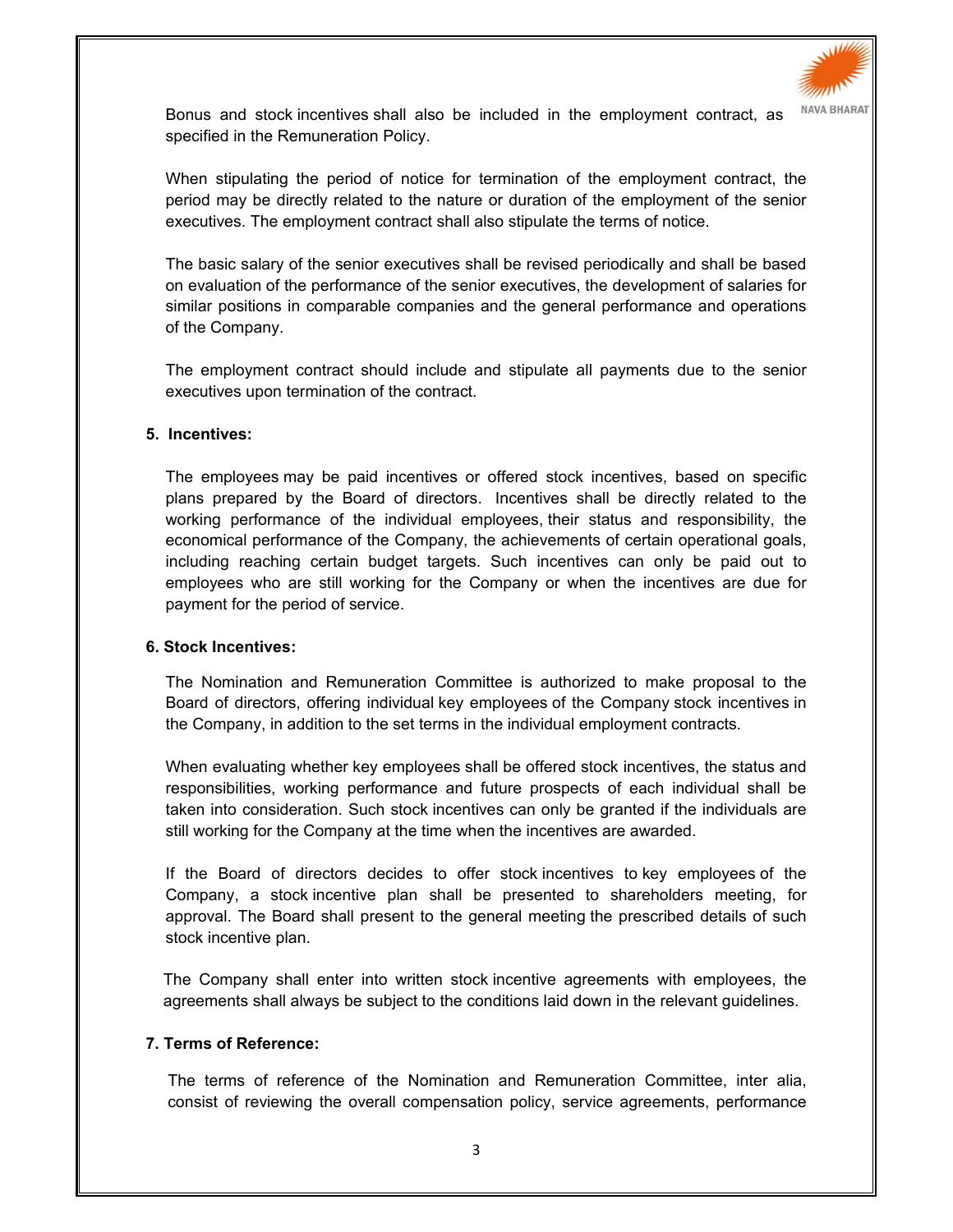

Bonus and stock incentives shall also be included in the employment contract, as specified in the Remuneration Policy.

When stipulating the period of notice for termination of the employment contract, the period may be directly related to the nature or duration of the employment of the senior executives. The employment contract shall also stipulate the terms of notice.

The basic salary of the senior executives shall be revised periodically and shall be based on evaluation of the performance of the senior executives, the development of salaries for similar positions in comparable companies and the general performance and operations of the Company.

The employment contract should include and stipulate all payments due to the senior executives upon termination of the contract.

#### **5. Incentives:**

The employees may be paid incentives or offered stock incentives, based on specific plans prepared by the Board of directors. Incentives shall be directly related to the working performance of the individual employees, their status and responsibility, the economical performance of the Company, the achievements of certain operational goals, including reaching certain budget targets. Such incentives can only be paid out to employees who are still working for the Company or when the incentives are due for payment for the period of service.

#### **6. Stock Incentives:**

The Nomination and Remuneration Committee is authorized to make proposal to the Board of directors, offering individual key employees of the Company stock incentives in the Company, in addition to the set terms in the individual employment contracts.

When evaluating whether key employees shall be offered stock incentives, the status and responsibilities, working performance and future prospects of each individual shall be taken into consideration. Such stock incentives can only be granted if the individuals are still working for the Company at the time when the incentives are awarded.

If the Board of directors decides to offer stock incentives to key employees of the Company, a stock incentive plan shall be presented to shareholders meeting, for approval. The Board shall present to the general meeting the prescribed details of such stock incentive plan.

The Company shall enter into written stock incentive agreements with employees, the agreements shall always be subject to the conditions laid down in the relevant guidelines.

#### **7. Terms of Reference:**

The terms of reference of the Nomination and Remuneration Committee, inter alia, consist of reviewing the overall compensation policy, service agreements, performance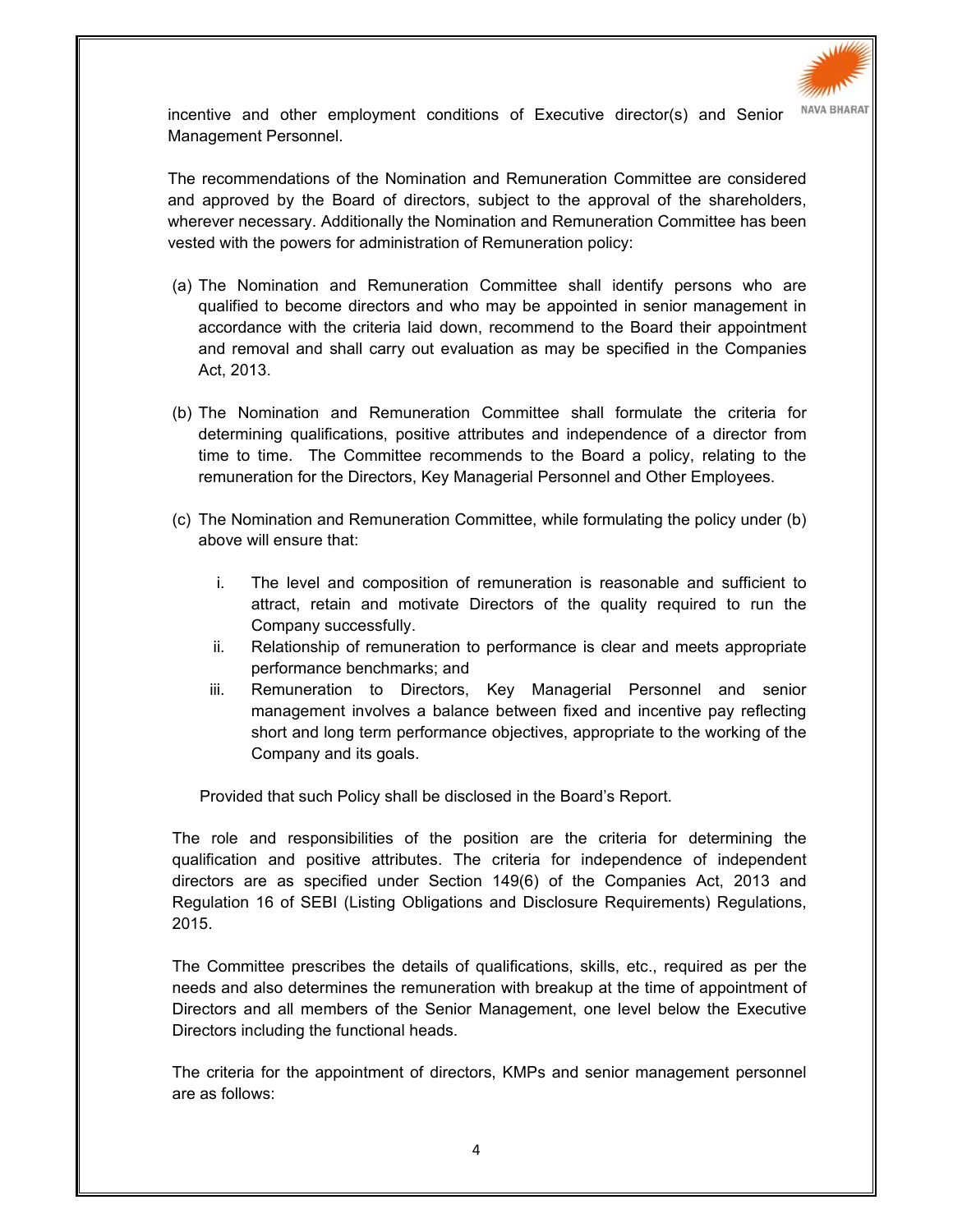

incentive and other employment conditions of Executive director(s) and Senior Management Personnel.

The recommendations of the Nomination and Remuneration Committee are considered and approved by the Board of directors, subject to the approval of the shareholders, wherever necessary. Additionally the Nomination and Remuneration Committee has been vested with the powers for administration of Remuneration policy:

- (a) The Nomination and Remuneration Committee shall identify persons who are qualified to become directors and who may be appointed in senior management in accordance with the criteria laid down, recommend to the Board their appointment and removal and shall carry out evaluation as may be specified in the Companies Act, 2013.
- (b) The Nomination and Remuneration Committee shall formulate the criteria for determining qualifications, positive attributes and independence of a director from time to time. The Committee recommends to the Board a policy, relating to the remuneration for the Directors, Key Managerial Personnel and Other Employees.
- (c) The Nomination and Remuneration Committee, while formulating the policy under (b) above will ensure that:
	- i. The level and composition of remuneration is reasonable and sufficient to attract, retain and motivate Directors of the quality required to run the Company successfully.
	- ii. Relationship of remuneration to performance is clear and meets appropriate performance benchmarks; and
	- iii. Remuneration to Directors, Key Managerial Personnel and senior management involves a balance between fixed and incentive pay reflecting short and long term performance objectives, appropriate to the working of the Company and its goals.

Provided that such Policy shall be disclosed in the Board's Report.

The role and responsibilities of the position are the criteria for determining the qualification and positive attributes. The criteria for independence of independent directors are as specified under Section 149(6) of the Companies Act, 2013 and Regulation 16 of SEBI (Listing Obligations and Disclosure Requirements) Regulations, 2015.

The Committee prescribes the details of qualifications, skills, etc., required as per the needs and also determines the remuneration with breakup at the time of appointment of Directors and all members of the Senior Management, one level below the Executive Directors including the functional heads.

The criteria for the appointment of directors, KMPs and senior management personnel are as follows: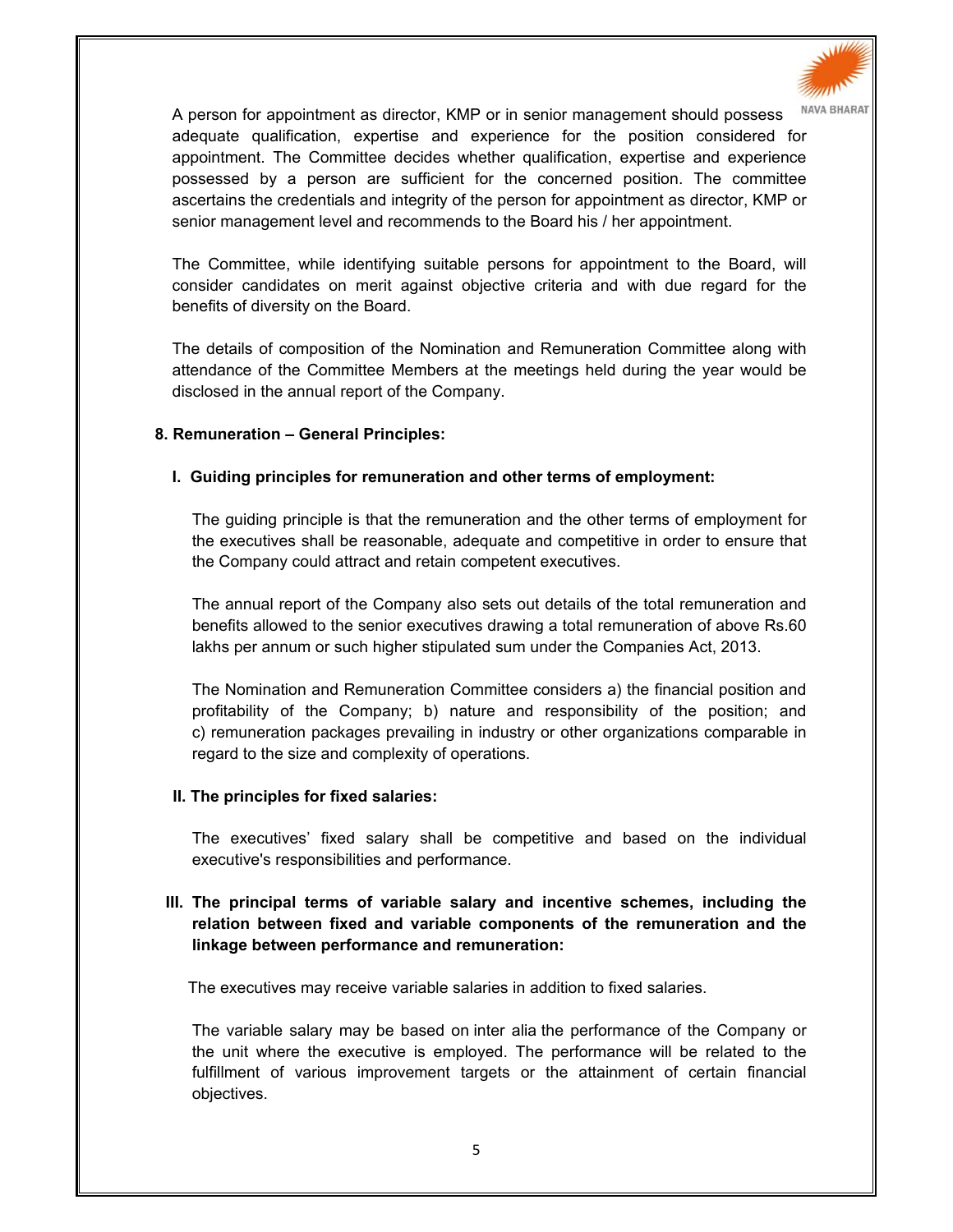

A person for appointment as director, KMP or in senior management should possess MAVA BHARAT adequate qualification, expertise and experience for the position considered for appointment. The Committee decides whether qualification, expertise and experience possessed by a person are sufficient for the concerned position. The committee ascertains the credentials and integrity of the person for appointment as director, KMP or senior management level and recommends to the Board his / her appointment.

The Committee, while identifying suitable persons for appointment to the Board, will consider candidates on merit against objective criteria and with due regard for the benefits of diversity on the Board.

The details of composition of the Nomination and Remuneration Committee along with attendance of the Committee Members at the meetings held during the year would be disclosed in the annual report of the Company.

#### **8. Remuneration – General Principles:**

#### **I. Guiding principles for remuneration and other terms of employment:**

The guiding principle is that the remuneration and the other terms of employment for the executives shall be reasonable, adequate and competitive in order to ensure that the Company could attract and retain competent executives.

The annual report of the Company also sets out details of the total remuneration and benefits allowed to the senior executives drawing a total remuneration of above Rs.60 lakhs per annum or such higher stipulated sum under the Companies Act, 2013.

The Nomination and Remuneration Committee considers a) the financial position and profitability of the Company; b) nature and responsibility of the position; and c) remuneration packages prevailing in industry or other organizations comparable in regard to the size and complexity of operations.

#### **II. The principles for fixed salaries:**

The executives' fixed salary shall be competitive and based on the individual executive's responsibilities and performance.

# **III. The principal terms of variable salary and incentive schemes, including the relation between fixed and variable components of the remuneration and the linkage between performance and remuneration:**

The executives may receive variable salaries in addition to fixed salaries.

The variable salary may be based on inter alia the performance of the Company or the unit where the executive is employed. The performance will be related to the fulfillment of various improvement targets or the attainment of certain financial objectives.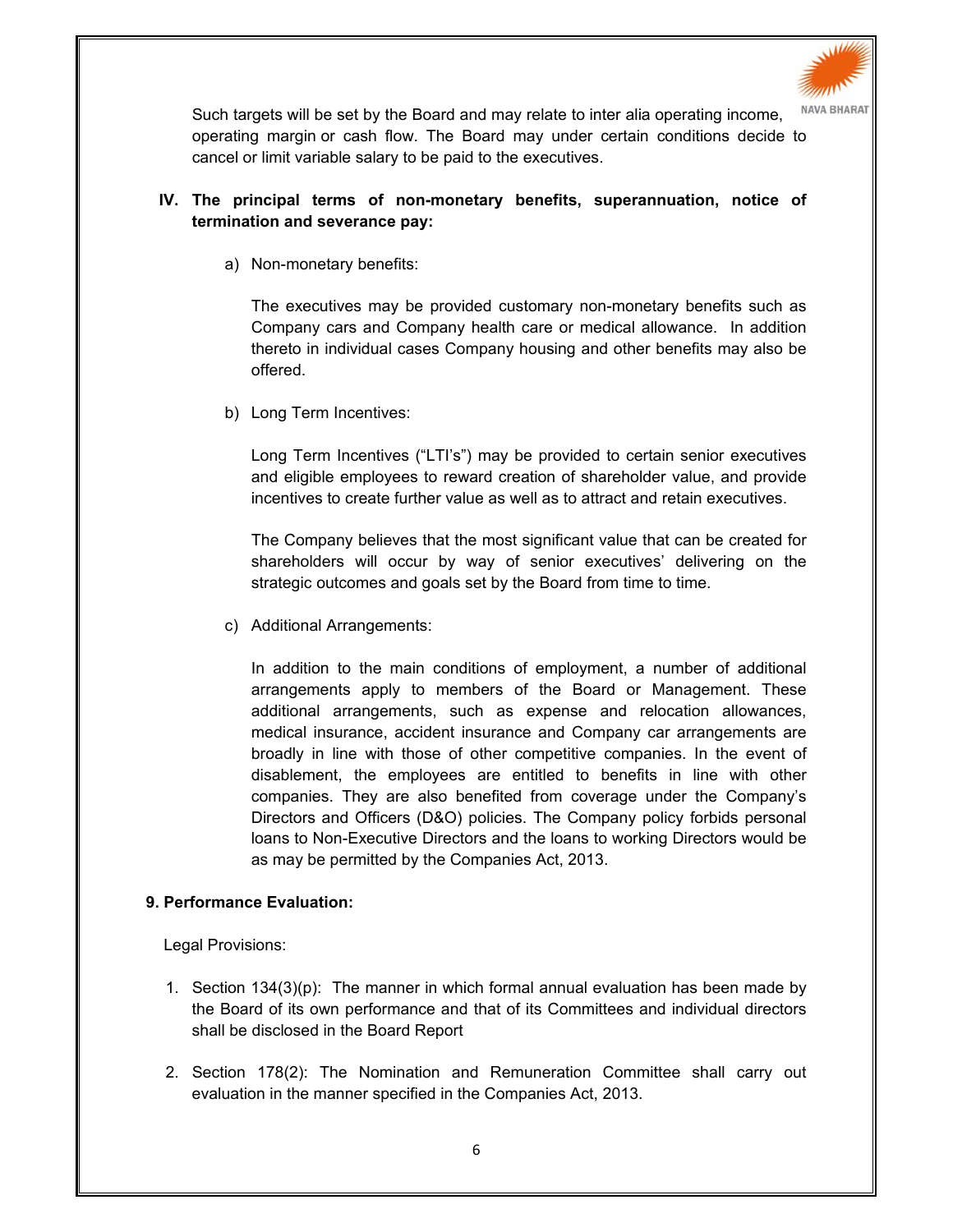

Such targets will be set by the Board and may relate to inter alia operating income, operating margin or cash flow. The Board may under certain conditions decide to cancel or limit variable salary to be paid to the executives.

# **IV. The principal terms of non-monetary benefits, superannuation, notice of termination and severance pay:**

a) Non-monetary benefits:

The executives may be provided customary non-monetary benefits such as Company cars and Company health care or medical allowance. In addition thereto in individual cases Company housing and other benefits may also be offered.

b) Long Term Incentives:

Long Term Incentives ("LTI's") may be provided to certain senior executives and eligible employees to reward creation of shareholder value, and provide incentives to create further value as well as to attract and retain executives.

The Company believes that the most significant value that can be created for shareholders will occur by way of senior executives' delivering on the strategic outcomes and goals set by the Board from time to time.

c) Additional Arrangements:

In addition to the main conditions of employment, a number of additional arrangements apply to members of the Board or Management. These additional arrangements, such as expense and relocation allowances, medical insurance, accident insurance and Company car arrangements are broadly in line with those of other competitive companies. In the event of disablement, the employees are entitled to benefits in line with other companies. They are also benefited from coverage under the Company's Directors and Officers (D&O) policies. The Company policy forbids personal loans to Non-Executive Directors and the loans to working Directors would be as may be permitted by the Companies Act, 2013.

# **9. Performance Evaluation:**

Legal Provisions:

- 1. Section 134(3)(p): The manner in which formal annual evaluation has been made by the Board of its own performance and that of its Committees and individual directors shall be disclosed in the Board Report
- 2. Section 178(2): The Nomination and Remuneration Committee shall carry out evaluation in the manner specified in the Companies Act, 2013.